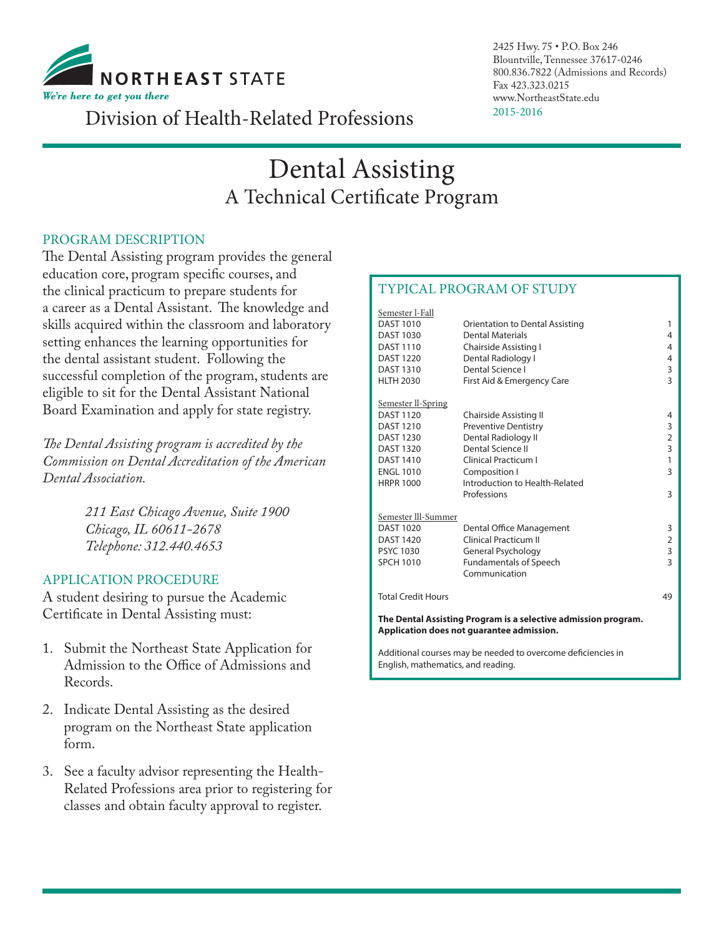

2425 Hwy. 75 • P.O. Box 246 Blountville, Tennessee 37617-0246 800.836.7822 (Admissions and Records) Fax 423.323.0215 www.NortheastState.edu

# 2015-2016 Division of Health-Related Professions

# Dental Assisting A Technical Certificate Program

### PROGRAM DESCRIPTION

The Dental Assisting program provides the general education core, program specific courses, and the clinical practicum to prepare students for a career as a Dental Assistant. The knowledge and skills acquired within the classroom and laboratory setting enhances the learning opportunities for the dental assistant student. Following the successful completion of the program, students are eligible to sit for the Dental Assistant National Board Examination and apply for state registry.

*The Dental Assisting program is accredited by the Commission on Dental Accreditation of the American Dental Association.*

> *211 East Chicago Avenue, Suite 1900 Chicago, IL 60611-2678 Telephone: 312.440.4653*

#### APPLICATION PROCEDURE

A student desiring to pursue the Academic Certificate in Dental Assisting must:

- 1. Submit the Northeast State Application for Admission to the Office of Admissions and Records.
- 2. Indicate Dental Assisting as the desired program on the Northeast State application form.
- 3. See a faculty advisor representing the Health-Related Professions area prior to registering for classes and obtain faculty approval to register.

## TYPICAL PROGRAM OF STUDY

| Semester l-Fall                                                                                             |                                 |                         |  |  |  |
|-------------------------------------------------------------------------------------------------------------|---------------------------------|-------------------------|--|--|--|
| <b>DAST 1010</b>                                                                                            | Orientation to Dental Assisting | 1                       |  |  |  |
| <b>DAST 1030</b>                                                                                            | <b>Dental Materials</b>         | 4                       |  |  |  |
| <b>DAST 1110</b>                                                                                            | Chairside Assisting I           | 4                       |  |  |  |
| <b>DAST 1220</b>                                                                                            | Dental Radiology I              | 4                       |  |  |  |
| <b>DAST 1310</b>                                                                                            | Dental Science I                | 3                       |  |  |  |
| <b>HLTH 2030</b>                                                                                            | First Aid & Emergency Care      | $\overline{\mathbf{3}}$ |  |  |  |
| Semester II-Spring                                                                                          |                                 |                         |  |  |  |
| <b>DAST 1120</b>                                                                                            | Chairside Assisting II          | 4                       |  |  |  |
| <b>DAST 1210</b>                                                                                            | <b>Preventive Dentistry</b>     | 3                       |  |  |  |
| <b>DAST 1230</b>                                                                                            | Dental Radiology II             | $\overline{2}$          |  |  |  |
| <b>DAST 1320</b>                                                                                            | Dental Science II               | 3                       |  |  |  |
| <b>DAST 1410</b>                                                                                            | Clinical Practicum I            | 1                       |  |  |  |
| <b>FNGI 1010</b>                                                                                            | Composition I                   | 3                       |  |  |  |
| <b>HRPR 1000</b>                                                                                            | Introduction to Health-Related  |                         |  |  |  |
|                                                                                                             | Professions                     | 3                       |  |  |  |
| Semester III-Summer                                                                                         |                                 |                         |  |  |  |
| <b>DAST 1020</b>                                                                                            | Dental Office Management        | 3                       |  |  |  |
| <b>DAST 1420</b>                                                                                            | <b>Clinical Practicum II</b>    | $\overline{2}$          |  |  |  |
| <b>PSYC 1030</b>                                                                                            | General Psychology              | 3                       |  |  |  |
| <b>SPCH 1010</b>                                                                                            | <b>Fundamentals of Speech</b>   | $\overline{\mathbf{3}}$ |  |  |  |
|                                                                                                             | Communication                   |                         |  |  |  |
| <b>Total Credit Hours</b>                                                                                   |                                 | 49                      |  |  |  |
| The Dental Assisting Program is a selective admission program.<br>Application does not guarantee admission. |                                 |                         |  |  |  |
| Additional courses may be needed to overcome deficiencies in                                                |                                 |                         |  |  |  |

English, mathematics, and reading.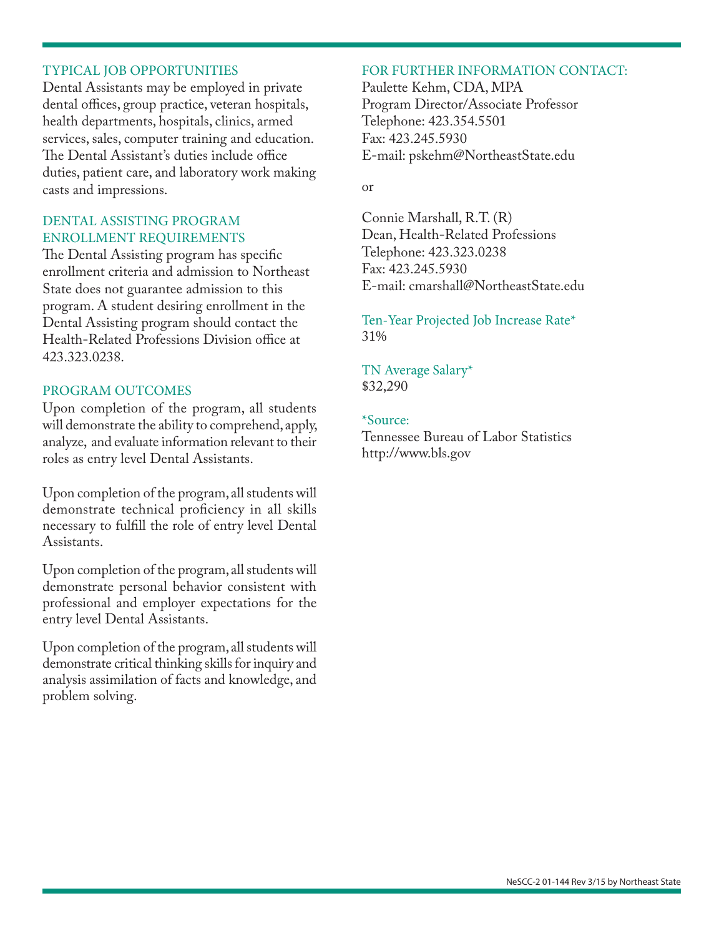#### TYPICAL JOB OPPORTUNITIES

Dental Assistants may be employed in private dental offices, group practice, veteran hospitals, health departments, hospitals, clinics, armed services, sales, computer training and education. The Dental Assistant's duties include office duties, patient care, and laboratory work making casts and impressions.

#### DENTAL ASSISTING PROGRAM ENROLLMENT REQUIREMENTS

The Dental Assisting program has specific enrollment criteria and admission to Northeast State does not guarantee admission to this program. A student desiring enrollment in the Dental Assisting program should contact the Health-Related Professions Division office at 423.323.0238.

#### PROGRAM OUTCOMES

Upon completion of the program, all students will demonstrate the ability to comprehend, apply, analyze, and evaluate information relevant to their roles as entry level Dental Assistants.

Upon completion of the program, all students will demonstrate technical proficiency in all skills necessary to fulfill the role of entry level Dental Assistants.

Upon completion of the program, all students will demonstrate personal behavior consistent with professional and employer expectations for the entry level Dental Assistants.

Upon completion of the program, all students will demonstrate critical thinking skills for inquiry and analysis assimilation of facts and knowledge, and problem solving.

#### FOR FURTHER INFORMATION CONTACT:

Paulette Kehm, CDA, MPA Program Director/Associate Professor Telephone: 423.354.5501 Fax: 423.245.5930 E-mail: pskehm@NortheastState.edu

#### or

Connie Marshall, R.T. (R) Dean, Health-Related Professions Telephone: 423.323.0238 Fax: 423.245.5930 E-mail: cmarshall@NortheastState.edu

Ten-Year Projected Job Increase Rate\* 31%

TN Average Salary\* \$32,290

#### \*Source:

Tennessee Bureau of Labor Statistics http://www.bls.gov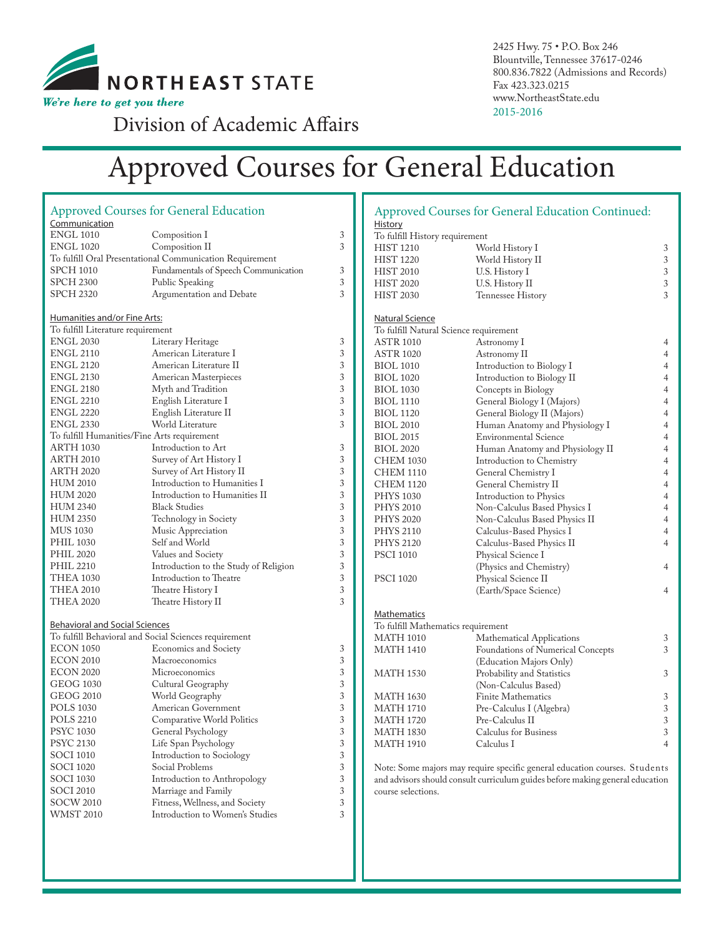

2425 Hwy. 75 • P.O. Box 246 Blountville, Tennessee 37617-0246 800.836.7822 (Admissions and Records) Fax 423.323.0215 www.NortheastState.edu 2015-2016

Division of Academic Affairs

# Approved Courses for General Education

|                                             | <b>Approved Courses for General Education</b>            |            |  |  |  |
|---------------------------------------------|----------------------------------------------------------|------------|--|--|--|
| <b>Communication</b>                        |                                                          |            |  |  |  |
| <b>ENGL 1010</b>                            | Composition 1                                            | 3          |  |  |  |
| <b>ENGL 1020</b>                            | Composition II                                           | 3          |  |  |  |
|                                             | To fulfill Oral Presentational Communication Requirement |            |  |  |  |
| SPCH 1010                                   | Fundamentals of Speech Communication                     | 3          |  |  |  |
| <b>SPCH 2300</b>                            | Public Speaking                                          |            |  |  |  |
| <b>SPCH 2320</b>                            | Argumentation and Debate                                 | 3<br>3     |  |  |  |
|                                             |                                                          |            |  |  |  |
| <u>Humanities and/or Fine Arts:</u>         |                                                          |            |  |  |  |
| To fulfill Literature requirement           |                                                          |            |  |  |  |
| ENGL 2030                                   | Literary Heritage                                        |            |  |  |  |
| <b>ENGL 2110</b>                            | American Literature I                                    |            |  |  |  |
| <b>ENGL 2120</b>                            | American Literature II                                   |            |  |  |  |
| ENGL 2130                                   | American Masterpieces                                    |            |  |  |  |
| ENGL 2180                                   | Myth and Tradition                                       |            |  |  |  |
| <b>ENGL 2210</b>                            | English Literature I                                     |            |  |  |  |
| <b>ENGL 2220</b>                            | English Literature II                                    | 3<br>3     |  |  |  |
| ENGL 2330                                   | World Literature                                         | 3          |  |  |  |
| To fulfill Humanities/Fine Arts requirement |                                                          |            |  |  |  |
| <b>ARTH 1030</b>                            | Introduction to Art                                      | 3          |  |  |  |
| <b>ARTH 2010</b>                            | Survey of Art History I                                  | 3          |  |  |  |
| <b>ARTH 2020</b>                            | Survey of Art History II                                 | 3          |  |  |  |
| HUM 2010                                    | Introduction to Humanities I                             | $\sqrt{3}$ |  |  |  |
| HUM 2020                                    | Introduction to Humanities II                            | 3          |  |  |  |
| <b>HUM 2340</b>                             | <b>Black Studies</b>                                     | 3          |  |  |  |
|                                             |                                                          |            |  |  |  |
| <b>HUM 2350</b>                             | Technology in Society                                    | $\sqrt{3}$ |  |  |  |
| MUS 1030                                    | Music Appreciation                                       | 3          |  |  |  |
| <b>PHIL 1030</b>                            | Self and World                                           | 3          |  |  |  |
| <b>PHIL 2020</b>                            | Values and Society                                       | $\sqrt{3}$ |  |  |  |
| PHIL 2210                                   | Introduction to the Study of Religion                    | 3          |  |  |  |
| THEA 1030                                   | Introduction to Theatre                                  | 3          |  |  |  |
| THEA 2010                                   | Theatre History I                                        | 3          |  |  |  |
| THEA 2020                                   | Theatre History II                                       | 3          |  |  |  |
|                                             |                                                          |            |  |  |  |
| <u>Behavioral and Social Sciences</u>       | To fulfill Behavioral and Social Sciences requirement    |            |  |  |  |
| <b>ECON 1050</b>                            |                                                          |            |  |  |  |
|                                             | <b>Economics and Society</b>                             | 3          |  |  |  |
| <b>ECON 2010</b>                            | Macroeconomics                                           | 3          |  |  |  |
| <b>ECON 2020</b>                            | Microeconomics                                           | 3          |  |  |  |
| GEOG 1030                                   | Cultural Geography                                       | 3          |  |  |  |
| GEOG 2010                                   | World Geography                                          | $\sqrt{3}$ |  |  |  |
| POLS 1030                                   | American Government                                      | 3          |  |  |  |
| POLS 2210                                   | Comparative World Politics                               | 3          |  |  |  |
| PSYC 1030                                   | General Psychology                                       | 3          |  |  |  |
| PSYC 2130                                   | Life Span Psychology                                     | 3          |  |  |  |
| <b>SOCI 1010</b>                            | Introduction to Sociology                                | 3          |  |  |  |
| <b>SOCI 1020</b>                            | Social Problems                                          | 3          |  |  |  |
| <b>SOCI 1030</b>                            | Introduction to Anthropology                             | 3          |  |  |  |
| <b>SOCI 2010</b>                            | Marriage and Family                                      | 3          |  |  |  |
| SOCW 2010                                   | Fitness, Wellness, and Society                           | $\sqrt{3}$ |  |  |  |
| <b>WMST 2010</b>                            | Introduction to Women's Studies                          | 3          |  |  |  |
|                                             |                                                          |            |  |  |  |

|                                        | Approved Courses for General Education Continued: |                |
|----------------------------------------|---------------------------------------------------|----------------|
| <u>History</u>                         |                                                   |                |
| To fulfill History requirement         |                                                   |                |
| <b>HIST 1210</b>                       | World History I                                   | 3              |
| <b>HIST 1220</b>                       | World History II                                  | 3              |
| <b>HIST 2010</b>                       | U.S. History I                                    | 3              |
| <b>HIST 2020</b>                       | U.S. History II                                   | 3              |
| <b>HIST 2030</b>                       | Tennessee History                                 | 3              |
|                                        |                                                   |                |
| Natural Science                        |                                                   |                |
| To fulfill Natural Science requirement |                                                   |                |
| ASTR 1010                              | Astronomy I                                       | 4              |
| ASTR 1020                              | Astronomy II                                      | 4              |
| <b>BIOL 1010</b>                       | Introduction to Biology I                         | 4              |
| <b>BIOL 1020</b>                       | Introduction to Biology II                        | 4              |
| <b>BIOL 1030</b>                       | Concepts in Biology                               | 4              |
| <b>BIOL 1110</b>                       | General Biology I (Majors)                        | 4              |
| <b>BIOL 1120</b>                       | General Biology II (Majors)                       | 4              |
| <b>BIOL 2010</b>                       | Human Anatomy and Physiology I                    | 4              |
| <b>BIOL 2015</b>                       | <b>Environmental Science</b>                      | 4              |
| <b>BIOL 2020</b>                       | Human Anatomy and Physiology II                   | 4              |
| <b>CHEM 1030</b>                       | Introduction to Chemistry                         | 4              |
| <b>CHEM 1110</b>                       | General Chemistry I                               | 4              |
| <b>CHEM 1120</b>                       | General Chemistry II                              | 4              |
| <b>PHYS 1030</b>                       | Introduction to Physics                           | 4              |
| <b>PHYS 2010</b>                       | Non-Calculus Based Physics I                      | 4              |
| <b>PHYS 2020</b>                       | Non-Calculus Based Physics II                     | 4              |
| <b>PHYS 2110</b>                       | Calculus-Based Physics I                          | 4              |
| <b>PHYS 2120</b>                       | Calculus-Based Physics II                         | $\overline{4}$ |
| <b>PSCI 1010</b>                       | Physical Science I                                |                |
|                                        | (Physics and Chemistry)                           | 4              |
| <b>PSCI 1020</b>                       | Physical Science II                               |                |
|                                        | (Earth/Space Science)                             | 4              |
|                                        |                                                   |                |
| Mathematics                            |                                                   |                |
| To fulfill Mathematics requirement     |                                                   |                |
| <b>MATH 1010</b>                       | Mathematical Applications                         | 3              |
| <b>MATH 1410</b>                       | <b>Foundations of Numerical Concepts</b>          | 3              |
|                                        | (Education Majors Only)                           |                |
| <b>MATH 1530</b>                       | Probability and Statistics                        | 3              |
|                                        | (Non-Calculus Based)                              |                |
| <b>MATH 1630</b>                       | <b>Finite Mathematics</b>                         | 3              |
| <b>MATH 1710</b>                       | Pre-Calculus I (Algebra)                          | 3              |
| <b>MATH 1720</b>                       | Pre-Calculus II                                   | 3              |
| <b>MATH 1830</b>                       | Calculus for Business                             | 3              |
| <b>MATH 1910</b>                       | Calculus I                                        | $\overline{4}$ |
|                                        |                                                   |                |
|                                        |                                                   |                |

Note: Some majors may require specific general education courses. Students and advisors should consult curriculum guides before making general education course selections.